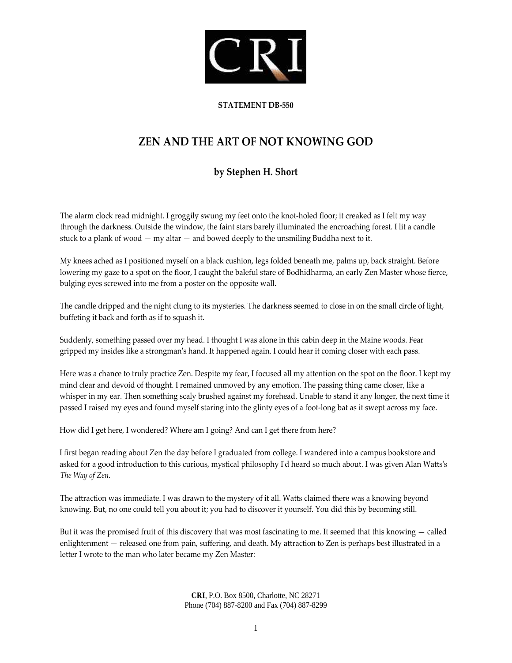

## **STATEMENT DB‐550**

## **ZEN AND THE ART OF NOT KNOWING GOD**

## **by Stephen H. Short**

The alarm clock read midnight. I groggily swung my feet onto the knot-holed floor; it creaked as I felt my way through the darkness. Outside the window, the faint stars barely illuminated the encroaching forest. I lit a candle stuck to a plank of wood  $-$  my altar  $-$  and bowed deeply to the unsmiling Buddha next to it.

My knees ached as I positioned myself on a black cushion, legs folded beneath me, palms up, back straight. Before lowering my gaze to a spot on the floor, I caught the baleful stare of Bodhidharma, an early Zen Master whose fierce, bulging eyes screwed into me from a poster on the opposite wall.

The candle dripped and the night clung to its mysteries. The darkness seemed to close in on the small circle of light, buffeting it back and forth as if to squash it.

Suddenly, something passed over my head. I thought I was alone in this cabin deep in the Maine woods. Fear gripped my insides like a strongmanʹs hand. It happened again. I could hear it coming closer with each pass.

Here was a chance to truly practice Zen. Despite my fear, I focused all my attention on the spot on the floor. I kept my mind clear and devoid of thought. I remained unmoved by any emotion. The passing thing came closer, like a whisper in my ear. Then something scaly brushed against my forehead. Unable to stand it any longer, the next time it passed I raised my eyes and found myself staring into the glinty eyes of a foot‐long bat as it swept across my face.

How did I get here, I wondered? Where am I going? And can I get there from here?

I first began reading about Zen the day before I graduated from college. I wandered into a campus bookstore and asked for a good introduction to this curious, mystical philosophy I'd heard so much about. I was given Alan Watts's *The Way of Zen.*

The attraction was immediate. I was drawn to the mystery of it all. Watts claimed there was a knowing beyond knowing. But, no one could tell you about it; you had to discover it yourself. You did this by becoming still.

But it was the promised fruit of this discovery that was most fascinating to me. It seemed that this knowing — called enlightenment — released one from pain, suffering, and death. My attraction to Zen is perhaps best illustrated in a letter I wrote to the man who later became my Zen Master: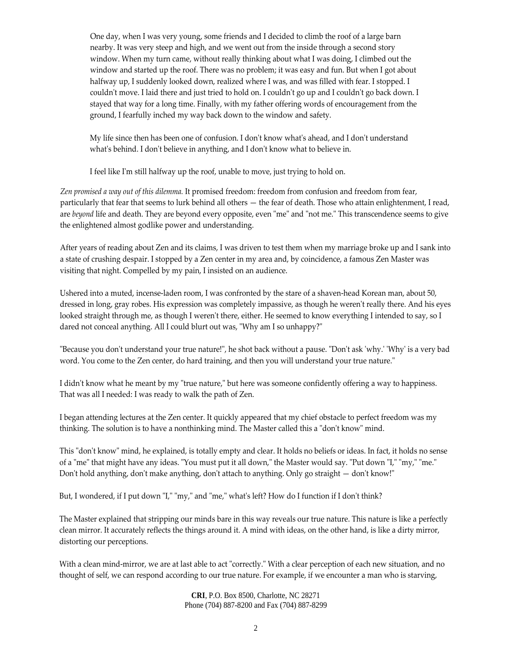One day, when I was very young, some friends and I decided to climb the roof of a large barn nearby. It was very steep and high, and we went out from the inside through a second story window. When my turn came, without really thinking about what I was doing, I climbed out the window and started up the roof. There was no problem; it was easy and fun. But when I got about halfway up, I suddenly looked down, realized where I was, and was filled with fear. I stopped. I couldnʹt move. I laid there and just tried to hold on. I couldnʹt go up and I couldnʹt go back down. I stayed that way for a long time. Finally, with my father offering words of encouragement from the ground, I fearfully inched my way back down to the window and safety.

My life since then has been one of confusion. I don't know what's ahead, and I don't understand what's behind. I don't believe in anything, and I don't know what to believe in.

I feel like Iʹm still halfway up the roof, unable to move, just trying to hold on.

*Zen promised a way out of this dilemma.* It promised freedom: freedom from confusion and freedom from fear, particularly that fear that seems to lurk behind all others — the fear of death. Those who attain enlightenment, I read, are *beyond* life and death. They are beyond every opposite, even "me" and "not me." This transcendence seems to give the enlightened almost godlike power and understanding.

After years of reading about Zen and its claims, I was driven to test them when my marriage broke up and I sank into a state of crushing despair. I stopped by a Zen center in my area and, by coincidence, a famous Zen Master was visiting that night. Compelled by my pain, I insisted on an audience.

Ushered into a muted, incense‐laden room, I was confronted by the stare of a shaven‐head Korean man, about 50, dressed in long, gray robes. His expression was completely impassive, as though he weren't really there. And his eyes looked straight through me, as though I weren't there, either. He seemed to know everything I intended to say, so I dared not conceal anything. All I could blurt out was, "Why am I so unhappy?"

"Because you don't understand your true nature!", he shot back without a pause. "Don't ask 'why.' 'Why' is a very bad word. You come to the Zen center, do hard training, and then you will understand your true nature."

I didn't know what he meant by my "true nature," but here was someone confidently offering a way to happiness. That was all I needed: I was ready to walk the path of Zen.

I began attending lectures at the Zen center. It quickly appeared that my chief obstacle to perfect freedom was my thinking. The solution is to have a nonthinking mind. The Master called this a "don't know" mind.

This "don't know" mind, he explained, is totally empty and clear. It holds no beliefs or ideas. In fact, it holds no sense of a "me" that might have any ideas. "You must put it all down," the Master would say. "Put down "I," "my," "me." Don't hold anything, don't make anything, don't attach to anything. Only go straight - don't know!"

But, I wondered, if I put down "I," "my," and "me," what's left? How do I function if I don't think?

The Master explained that stripping our minds bare in this way reveals our true nature. This nature is like a perfectly clean mirror. It accurately reflects the things around it. A mind with ideas, on the other hand, is like a dirty mirror, distorting our perceptions.

With a clean mind-mirror, we are at last able to act "correctly." With a clear perception of each new situation, and no thought of self, we can respond according to our true nature. For example, if we encounter a man who is starving,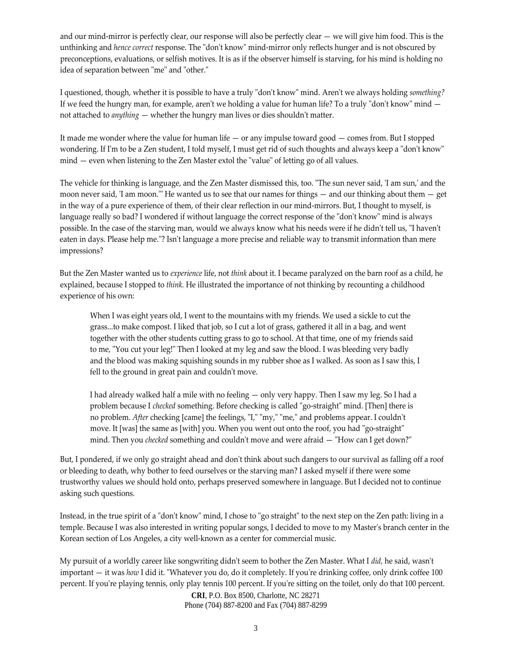and our mind-mirror is perfectly clear, our response will also be perfectly clear — we will give him food. This is the unthinking and *hence correct* response. The "don't know" mind-mirror only reflects hunger and is not obscured by preconceptions, evaluations, or selfish motives. It is as if the observer himself is starving, for his mind is holding no idea of separation between "me" and "other."

I questioned, though, whether it is possible to have a truly "don't know" mind. Aren't we always holding *something?* If we feed the hungry man, for example, aren't we holding a value for human life? To a truly "don't know" mind  $$ not attached to *anything* — whether the hungry man lives or dies shouldn't matter.

It made me wonder where the value for human life — or any impulse toward good — comes from. But I stopped wondering. If I'm to be a Zen student, I told myself, I must get rid of such thoughts and always keep a "don't know"  $mind$  – even when listening to the Zen Master extol the "value" of letting go of all values.

The vehicle for thinking is language, and the Zen Master dismissed this, too. "The sun never said, 'I am sun,' and the moon never said, <sup>'</sup>I am moon.<sup>'"</sup> He wanted us to see that our names for things — and our thinking about them — get in the way of a pure experience of them, of their clear reflection in our mind-mirrors. But, I thought to myself, is language really so bad? I wondered if without language the correct response of the "don't know" mind is always possible. In the case of the starving man, would we always know what his needs were if he didn't tell us, "I haven't eaten in days. Please help me."? Isn't language a more precise and reliable way to transmit information than mere impressions?

But the Zen Master wanted us to *experience* life, not *think* about it. I became paralyzed on the barn roof as a child, he explained, because I stopped to *think.* He illustrated the importance of not thinking by recounting a childhood experience of his own:

When I was eight years old, I went to the mountains with my friends. We used a sickle to cut the grass...to make compost. I liked that job, so I cut a lot of grass, gathered it all in a bag, and went together with the other students cutting grass to go to school. At that time, one of my friends said to me, "You cut your leg!" Then I looked at my leg and saw the blood. I was bleeding very badly and the blood was making squishing sounds in my rubber shoe as I walked. As soon as I saw this, I fell to the ground in great pain and couldn't move.

I had already walked half a mile with no feeling — only very happy. Then I saw my leg. So I had a problem because I *checked* something. Before checking is called "go-straight" mind. [Then] there is no problem. *After* checking [came] the feelings, "I," "my," "me," and problems appear. I couldn't move. It [was] the same as [with] you. When you went out onto the roof, you had "go-straight" mind. Then you *checked* something and couldn't move and were afraid — "How can I get down?"

But, I pondered, if we only go straight ahead and don't think about such dangers to our survival as falling off a roof or bleeding to death, why bother to feed ourselves or the starving man? I asked myself if there were some trustworthy values we should hold onto, perhaps preserved somewhere in language. But I decided not to continue asking such questions.

Instead, in the true spirit of a "don't know" mind, I chose to "go straight" to the next step on the Zen path: living in a temple. Because I was also interested in writing popular songs, I decided to move to my Master's branch center in the Korean section of Los Angeles, a city well‐known as a center for commercial music.

My pursuit of a worldly career like songwriting didnʹt seem to bother the Zen Master. What I *did,* he said, wasnʹt important — it was *how* I did it. "Whatever you do, do it completely. If you're drinking coffee, only drink coffee 100 percent. If you're playing tennis, only play tennis 100 percent. If you're sitting on the toilet, only do that 100 percent.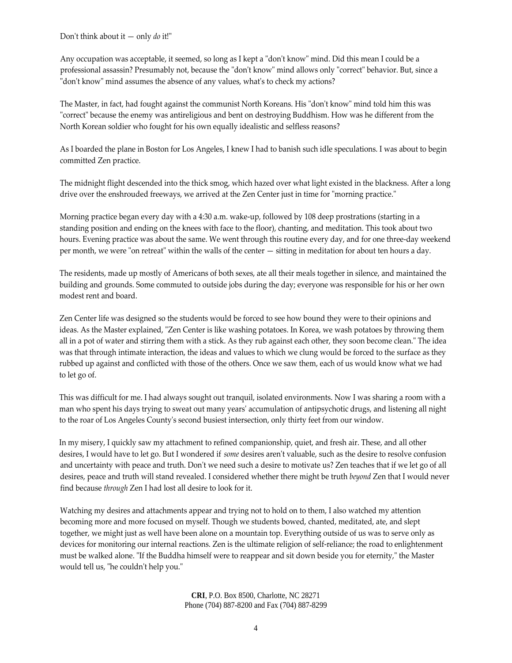Don't think about it - only *do* it!"

Any occupation was acceptable, it seemed, so long as I kept a "don't know" mind. Did this mean I could be a professional assassin? Presumably not, because the "don't know" mind allows only "correct" behavior. But, since a "don't know" mind assumes the absence of any values, what's to check my actions?

The Master, in fact, had fought against the communist North Koreans. His "don't know" mind told him this was "correct" because the enemy was antireligious and bent on destroying Buddhism. How was he different from the North Korean soldier who fought for his own equally idealistic and selfless reasons?

As I boarded the plane in Boston for Los Angeles, I knew I had to banish such idle speculations. I was about to begin committed Zen practice.

The midnight flight descended into the thick smog, which hazed over what light existed in the blackness. After a long drive over the enshrouded freeways, we arrived at the Zen Center just in time for "morning practice."

Morning practice began every day with a 4:30 a.m. wake‐up, followed by 108 deep prostrations (starting in a standing position and ending on the knees with face to the floor), chanting, and meditation. This took about two hours. Evening practice was about the same. We went through this routine every day, and for one three‐day weekend per month, we were "on retreat" within the walls of the center  $-$  sitting in meditation for about ten hours a day.

The residents, made up mostly of Americans of both sexes, ate all their meals together in silence, and maintained the building and grounds. Some commuted to outside jobs during the day; everyone was responsible for his or her own modest rent and board.

Zen Center life was designed so the students would be forced to see how bound they were to their opinions and ideas. As the Master explained, "Zen Center is like washing potatoes. In Korea, we wash potatoes by throwing them all in a pot of water and stirring them with a stick. As they rub against each other, they soon become clean." The idea was that through intimate interaction, the ideas and values to which we clung would be forced to the surface as they rubbed up against and conflicted with those of the others. Once we saw them, each of us would know what we had to let go of.

This was difficult for me. I had always sought out tranquil, isolated environments. Now I was sharing a room with a man who spent his days trying to sweat out many yearsʹ accumulation of antipsychotic drugs, and listening all night to the roar of Los Angeles Countyʹs second busiest intersection, only thirty feet from our window.

In my misery, I quickly saw my attachment to refined companionship, quiet, and fresh air. These, and all other desires, I would have to let go. But I wondered if *some* desires arenʹt valuable, such as the desire to resolve confusion and uncertainty with peace and truth. Don't we need such a desire to motivate us? Zen teaches that if we let go of all desires, peace and truth will stand revealed. I considered whether there might be truth *beyond* Zen that I would never find because *through* Zen I had lost all desire to look for it.

Watching my desires and attachments appear and trying not to hold on to them, I also watched my attention becoming more and more focused on myself. Though we students bowed, chanted, meditated, ate, and slept together, we might just as well have been alone on a mountain top. Everything outside of us was to serve only as devices for monitoring our internal reactions. Zen is the ultimate religion of self-reliance; the road to enlightenment must be walked alone. "If the Buddha himself were to reappear and sit down beside you for eternity," the Master would tell us, "he couldn't help you."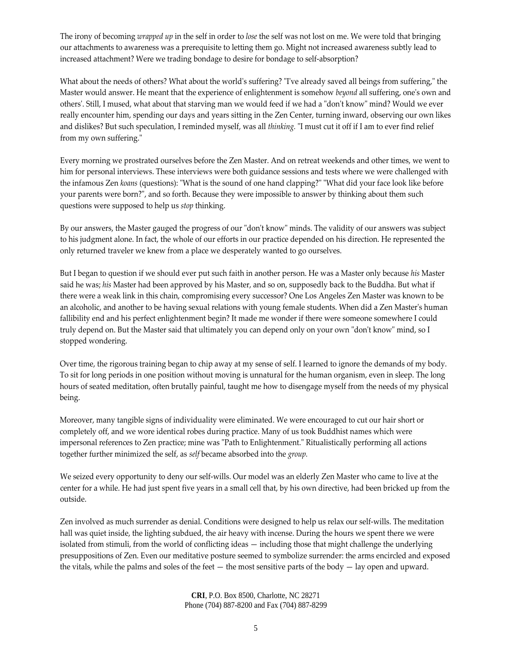The irony of becoming *wrapped up* in the self in order to *lose* the self was not lost on me. We were told that bringing our attachments to awareness was a prerequisite to letting them go. Might not increased awareness subtly lead to increased attachment? Were we trading bondage to desire for bondage to self‐absorption?

What about the needs of others? What about the world's suffering? "I've already saved all beings from suffering," the Master would answer. He meant that the experience of enlightenment is somehow *beyond* all suffering, oneʹs own and others'. Still, I mused, what about that starving man we would feed if we had a "don't know" mind? Would we ever really encounter him, spending our days and years sitting in the Zen Center, turning inward, observing our own likes and dislikes? But such speculation, I reminded myself, was all *thinking*. "I must cut it off if I am to ever find relief from my own suffering."

Every morning we prostrated ourselves before the Zen Master. And on retreat weekends and other times, we went to him for personal interviews. These interviews were both guidance sessions and tests where we were challenged with the infamous Zen *koans* (questions): "What is the sound of one hand clapping?" "What did your face look like before your parents were born?", and so forth. Because they were impossible to answer by thinking about them such questions were supposed to help us *stop* thinking.

By our answers, the Master gauged the progress of our "don't know" minds. The validity of our answers was subject to his judgment alone. In fact, the whole of our efforts in our practice depended on his direction. He represented the only returned traveler we knew from a place we desperately wanted to go ourselves.

But I began to question if we should ever put such faith in another person. He was a Master only because *his* Master said he was; *his* Master had been approved by his Master, and so on, supposedly back to the Buddha. But what if there were a weak link in this chain, compromising every successor? One Los Angeles Zen Master was known to be an alcoholic, and another to be having sexual relations with young female students. When did a Zen Masterʹs human fallibility end and his perfect enlightenment begin? It made me wonder if there were someone somewhere I could truly depend on. But the Master said that ultimately you can depend only on your own "don't know" mind, so I stopped wondering.

Over time, the rigorous training began to chip away at my sense of self. I learned to ignore the demands of my body. To sit for long periods in one position without moving is unnatural for the human organism, even in sleep. The long hours of seated meditation, often brutally painful, taught me how to disengage myself from the needs of my physical being.

Moreover, many tangible signs of individuality were eliminated. We were encouraged to cut our hair short or completely off, and we wore identical robes during practice. Many of us took Buddhist names which were impersonal references to Zen practice; mine was "Path to Enlightenment." Ritualistically performing all actions together further minimized the self, as *self* became absorbed into the *group.*

We seized every opportunity to deny our self‐wills. Our model was an elderly Zen Master who came to live at the center for a while. He had just spent five years in a small cell that, by his own directive, had been bricked up from the outside.

Zen involved as much surrender as denial. Conditions were designed to help us relax our self-wills. The meditation hall was quiet inside, the lighting subdued, the air heavy with incense. During the hours we spent there we were isolated from stimuli, from the world of conflicting ideas — including those that might challenge the underlying presuppositions of Zen. Even our meditative posture seemed to symbolize surrender: the arms encircled and exposed the vitals, while the palms and soles of the feet  $-$  the most sensitive parts of the body  $-$  lay open and upward.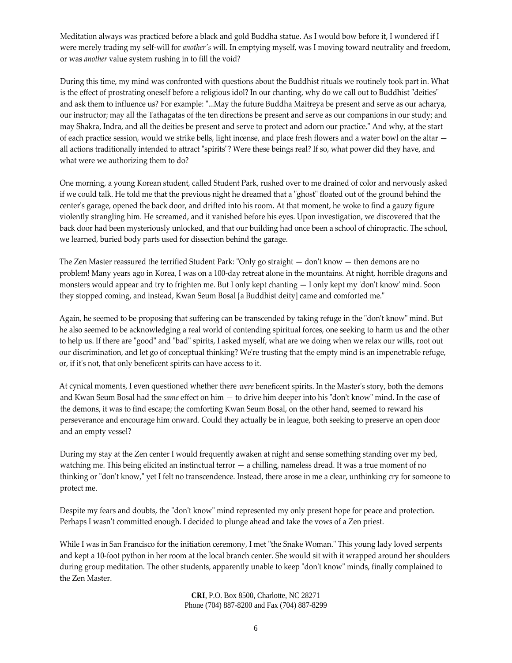Meditation always was practiced before a black and gold Buddha statue. As I would bow before it, I wondered if I were merely trading my self-will for *another's* will. In emptying myself, was I moving toward neutrality and freedom, or was *another* value system rushing in to fill the void?

During this time, my mind was confronted with questions about the Buddhist rituals we routinely took part in. What is the effect of prostrating oneself before a religious idol? In our chanting, why do we call out to Buddhist "deities" and ask them to influence us? For example: "...May the future Buddha Maitreya be present and serve as our acharya, our instructor; may all the Tathagatas of the ten directions be present and serve as our companions in our study; and may Shakra, Indra, and all the deities be present and serve to protect and adorn our practice." And why, at the start of each practice session, would we strike bells, light incense, and place fresh flowers and a water bowl on the altar all actions traditionally intended to attract "spirits"? Were these beings real? If so, what power did they have, and what were we authorizing them to do?

One morning, a young Korean student, called Student Park, rushed over to me drained of color and nervously asked if we could talk. He told me that the previous night he dreamed that a "ghost" floated out of the ground behind the centerʹs garage, opened the back door, and drifted into his room. At that moment, he woke to find a gauzy figure violently strangling him. He screamed, and it vanished before his eyes. Upon investigation, we discovered that the back door had been mysteriously unlocked, and that our building had once been a school of chiropractic. The school, we learned, buried body parts used for dissection behind the garage.

The Zen Master reassured the terrified Student Park: "Only go straight  $-$  don't know  $-$  then demons are no problem! Many years ago in Korea, I was on a 100‐day retreat alone in the mountains. At night, horrible dragons and monsters would appear and try to frighten me. But I only kept chanting  $-1$  only kept my 'don't know' mind. Soon they stopped coming, and instead, Kwan Seum Bosal [a Buddhist deity] came and comforted me."

Again, he seemed to be proposing that suffering can be transcended by taking refuge in the "don't know" mind. But he also seemed to be acknowledging a real world of contending spiritual forces, one seeking to harm us and the other to help us. If there are "good" and "bad" spirits, I asked myself, what are we doing when we relax our wills, root out our discrimination, and let go of conceptual thinking? We're trusting that the empty mind is an impenetrable refuge, or, if itʹs not, that only beneficent spirits can have access to it.

At cynical moments, I even questioned whether there *were* beneficent spirits. In the Masterʹs story, both the demons and Kwan Seum Bosal had the *same* effect on him — to drive him deeper into his "don't know" mind. In the case of the demons, it was to find escape; the comforting Kwan Seum Bosal, on the other hand, seemed to reward his perseverance and encourage him onward. Could they actually be in league, both seeking to preserve an open door and an empty vessel?

During my stay at the Zen center I would frequently awaken at night and sense something standing over my bed, watching me. This being elicited an instinctual terror — a chilling, nameless dread. It was a true moment of no thinking or "don't know," yet I felt no transcendence. Instead, there arose in me a clear, unthinking cry for someone to protect me.

Despite my fears and doubts, the "don't know" mind represented my only present hope for peace and protection. Perhaps I wasn't committed enough. I decided to plunge ahead and take the vows of a Zen priest.

While I was in San Francisco for the initiation ceremony, I met "the Snake Woman." This young lady loved serpents and kept a 10‐foot python in her room at the local branch center. She would sit with it wrapped around her shoulders during group meditation. The other students, apparently unable to keep "don't know" minds, finally complained to the Zen Master.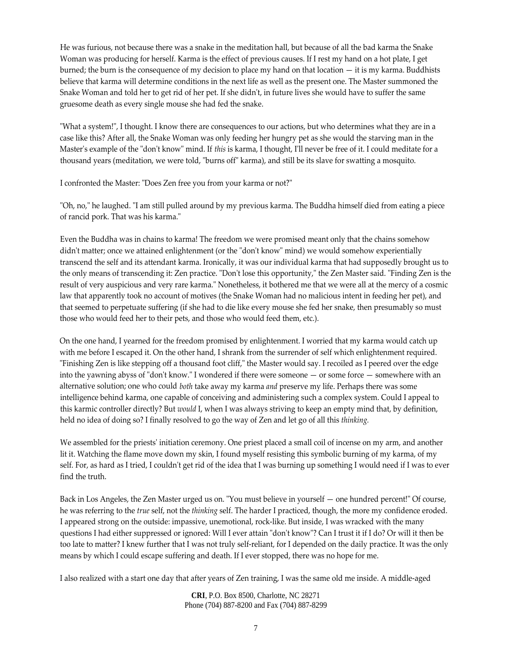He was furious, not because there was a snake in the meditation hall, but because of all the bad karma the Snake Woman was producing for herself. Karma is the effect of previous causes. If I rest my hand on a hot plate, I get burned; the burn is the consequence of my decision to place my hand on that location — it is my karma. Buddhists believe that karma will determine conditions in the next life as well as the present one. The Master summoned the Snake Woman and told her to get rid of her pet. If she didn't, in future lives she would have to suffer the same gruesome death as every single mouse she had fed the snake.

ʺWhat a system!ʺ, I thought. I know there are consequences to our actions, but who determines what they are in a case like this? After all, the Snake Woman was only feeding her hungry pet as she would the starving man in the Master's example of the "don't know" mind. If *this* is karma, I thought, I'll never be free of it. I could meditate for a thousand years (meditation, we were told, "burns off" karma), and still be its slave for swatting a mosquito.

I confronted the Master: "Does Zen free you from your karma or not?"

"Oh, no," he laughed. "I am still pulled around by my previous karma. The Buddha himself died from eating a piece of rancid pork. That was his karma."

Even the Buddha was in chains to karma! The freedom we were promised meant only that the chains somehow didn't matter; once we attained enlightenment (or the "don't know" mind) we would somehow experientially transcend the self and its attendant karma. Ironically, it was our individual karma that had supposedly brought us to the only means of transcending it: Zen practice. "Don't lose this opportunity," the Zen Master said. "Finding Zen is the result of very auspicious and very rare karma." Nonetheless, it bothered me that we were all at the mercy of a cosmic law that apparently took no account of motives (the Snake Woman had no malicious intent in feeding her pet), and that seemed to perpetuate suffering (if she had to die like every mouse she fed her snake, then presumably so must those who would feed her to their pets, and those who would feed them, etc.).

On the one hand, I yearned for the freedom promised by enlightenment. I worried that my karma would catch up with me before I escaped it. On the other hand, I shrank from the surrender of self which enlightenment required. "Finishing Zen is like stepping off a thousand foot cliff," the Master would say. I recoiled as I peered over the edge into the yawning abyss of "don't know." I wondered if there were someone  $-$  or some force  $-$  somewhere with an alternative solution; one who could *both* take away my karma *and* preserve my life. Perhaps there was some intelligence behind karma, one capable of conceiving and administering such a complex system. Could I appeal to this karmic controller directly? But *would* I, when I was always striving to keep an empty mind that, by definition, held no idea of doing so? I finally resolved to go the way of Zen and let go of all this *thinking.*

We assembled for the priests' initiation ceremony. One priest placed a small coil of incense on my arm, and another lit it. Watching the flame move down my skin, I found myself resisting this symbolic burning of my karma, of my self. For, as hard as I tried, I couldn't get rid of the idea that I was burning up something I would need if I was to ever find the truth.

Back in Los Angeles, the Zen Master urged us on. "You must believe in yourself  $-$  one hundred percent!" Of course, he was referring to the *true* self, not the *thinking* self. The harder I practiced, though, the more my confidence eroded. I appeared strong on the outside: impassive, unemotional, rock‐like. But inside, I was wracked with the many questions I had either suppressed or ignored: Will I ever attain "don't know"? Can I trust it if I do? Or will it then be too late to matter? I knew further that I was not truly self-reliant, for I depended on the daily practice. It was the only means by which I could escape suffering and death. If I ever stopped, there was no hope for me.

I also realized with a start one day that after years of Zen training, I was the same old me inside. A middle‐aged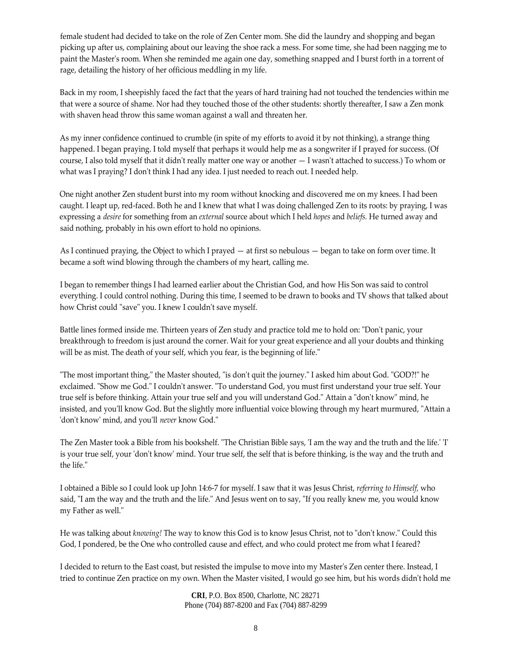female student had decided to take on the role of Zen Center mom. She did the laundry and shopping and began picking up after us, complaining about our leaving the shoe rack a mess. For some time, she had been nagging me to paint the Masterʹs room. When she reminded me again one day, something snapped and I burst forth in a torrent of rage, detailing the history of her officious meddling in my life.

Back in my room, I sheepishly faced the fact that the years of hard training had not touched the tendencies within me that were a source of shame. Nor had they touched those of the other students: shortly thereafter, I saw a Zen monk with shaven head throw this same woman against a wall and threaten her.

As my inner confidence continued to crumble (in spite of my efforts to avoid it by not thinking), a strange thing happened. I began praying. I told myself that perhaps it would help me as a songwriter if I prayed for success. (Of course, I also told myself that it didn't really matter one way or another  $-1$  wasn't attached to success.) To whom or what was I praying? I don't think I had any idea. I just needed to reach out. I needed help.

One night another Zen student burst into my room without knocking and discovered me on my knees. I had been caught. I leapt up, red‐faced. Both he and I knew that what I was doing challenged Zen to its roots: by praying, I was expressing a *desire* for something from an *external* source about which I held *hopes* and *beliefs.* He turned away and said nothing, probably in his own effort to hold no opinions.

As I continued praying, the Object to which I prayed — at first so nebulous — began to take on form over time. It became a soft wind blowing through the chambers of my heart, calling me.

I began to remember things I had learned earlier about the Christian God, and how His Son was said to control everything. I could control nothing. During this time, I seemed to be drawn to books and TV shows that talked about how Christ could "save" you. I knew I couldn't save myself.

Battle lines formed inside me. Thirteen years of Zen study and practice told me to hold on: "Don't panic, your breakthrough to freedom is just around the corner. Wait for your great experience and all your doubts and thinking will be as mist. The death of your self, which you fear, is the beginning of life."

"The most important thing," the Master shouted, "is don't quit the journey." I asked him about God. "GOD?!" he exclaimed. "Show me God." I couldn't answer. "To understand God, you must first understand your true self. Your true self is before thinking. Attain your true self and you will understand God." Attain a "don't know" mind, he insisted, and you'll know God. But the slightly more influential voice blowing through my heart murmured, "Attain a 'don't know' mind, and you'll *never* know God."

The Zen Master took a Bible from his bookshelf. "The Christian Bible says, 'I am the way and the truth and the life.' 'I' is your true self, your 'don't know' mind. Your true self, the self that is before thinking, is the way and the truth and the life."

I obtained a Bible so I could look up John 14:6‐7 for myself. I saw that it was Jesus Christ, *referring to Himself,* who said, "I am the way and the truth and the life." And Jesus went on to say, "If you really knew me, you would know my Father as well."

He was talking about *knowing!* The way to know this God is to know Jesus Christ, not to "don't know." Could this God, I pondered, be the One who controlled cause and effect, and who could protect me from what I feared?

I decided to return to the East coast, but resisted the impulse to move into my Masterʹs Zen center there. Instead, I tried to continue Zen practice on my own. When the Master visited, I would go see him, but his words didn't hold me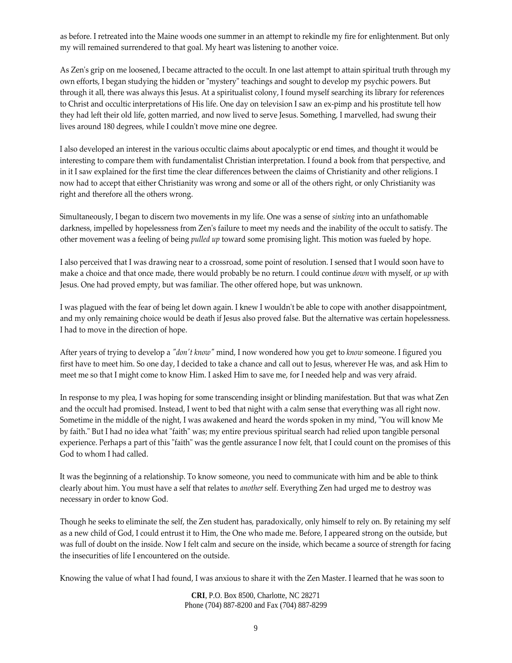as before. I retreated into the Maine woods one summer in an attempt to rekindle my fire for enlightenment. But only my will remained surrendered to that goal. My heart was listening to another voice.

As Zen's grip on me loosened, I became attracted to the occult. In one last attempt to attain spiritual truth through my own efforts, I began studying the hidden or "mystery" teachings and sought to develop my psychic powers. But through it all, there was always this Jesus. At a spiritualist colony, I found myself searching its library for references to Christ and occultic interpretations of His life. One day on television I saw an ex-pimp and his prostitute tell how they had left their old life, gotten married, and now lived to serve Jesus. Something, I marvelled, had swung their lives around 180 degrees, while I couldn't move mine one degree.

I also developed an interest in the various occultic claims about apocalyptic or end times, and thought it would be interesting to compare them with fundamentalist Christian interpretation. I found a book from that perspective, and in it I saw explained for the first time the clear differences between the claims of Christianity and other religions. I now had to accept that either Christianity was wrong and some or all of the others right, or only Christianity was right and therefore all the others wrong.

Simultaneously, I began to discern two movements in my life. One was a sense of *sinking* into an unfathomable darkness, impelled by hopelessness from Zen's failure to meet my needs and the inability of the occult to satisfy. The other movement was a feeling of being *pulled up* toward some promising light. This motion was fueled by hope.

I also perceived that I was drawing near to a crossroad, some point of resolution. I sensed that I would soon have to make a choice and that once made, there would probably be no return. I could continue *down* with myself, or *up* with Jesus. One had proved empty, but was familiar. The other offered hope, but was unknown.

I was plagued with the fear of being let down again. I knew I wouldnʹt be able to cope with another disappointment, and my only remaining choice would be death if Jesus also proved false. But the alternative was certain hopelessness. I had to move in the direction of hope.

After years of trying to develop a *ʺdonʹt knowʺ* mind, I now wondered how you get to *know* someone. I figured you first have to meet him. So one day, I decided to take a chance and call out to Jesus, wherever He was, and ask Him to meet me so that I might come to know Him. I asked Him to save me, for I needed help and was very afraid.

In response to my plea, I was hoping for some transcending insight or blinding manifestation. But that was what Zen and the occult had promised. Instead, I went to bed that night with a calm sense that everything was all right now. Sometime in the middle of the night, I was awakened and heard the words spoken in my mind, "You will know Me by faith." But I had no idea what "faith" was; my entire previous spiritual search had relied upon tangible personal experience. Perhaps a part of this "faith" was the gentle assurance I now felt, that I could count on the promises of this God to whom I had called.

It was the beginning of a relationship. To know someone, you need to communicate with him and be able to think clearly about him. You must have a self that relates to *another* self. Everything Zen had urged me to destroy was necessary in order to know God.

Though he seeks to eliminate the self, the Zen student has, paradoxically, only himself to rely on. By retaining my self as a new child of God, I could entrust it to Him, the One who made me. Before, I appeared strong on the outside, but was full of doubt on the inside. Now I felt calm and secure on the inside, which became a source of strength for facing the insecurities of life I encountered on the outside.

Knowing the value of what I had found, I was anxious to share it with the Zen Master. I learned that he was soon to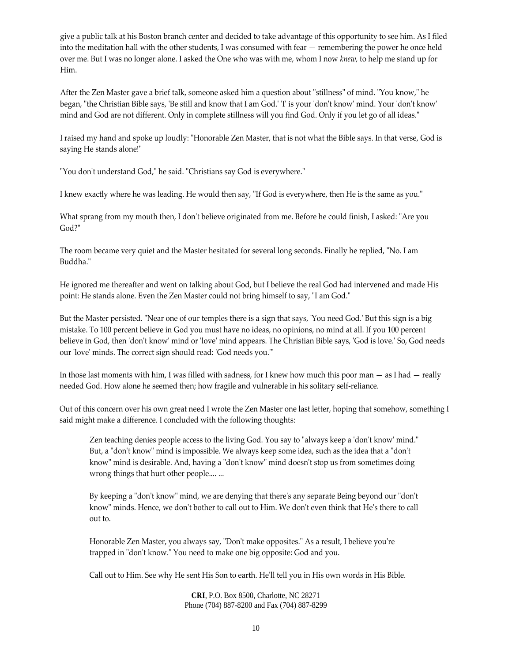give a public talk at his Boston branch center and decided to take advantage of this opportunity to see him. As I filed into the meditation hall with the other students, I was consumed with fear — remembering the power he once held over me. But I was no longer alone. I asked the One who was with me, whom I now *knew,* to help me stand up for Him.

After the Zen Master gave a brief talk, someone asked him a question about "stillness" of mind. "You know," he began, "the Christian Bible says, 'Be still and know that I am God.' T is your 'don't know' mind. Your 'don't know' mind and God are not different. Only in complete stillness will you find God. Only if you let go of all ideas."

I raised my hand and spoke up loudly: "Honorable Zen Master, that is not what the Bible says. In that verse, God is saying He stands alone!"

"You don't understand God," he said. "Christians say God is everywhere."

I knew exactly where he was leading. He would then say, "If God is everywhere, then He is the same as you."

What sprang from my mouth then, I don't believe originated from me. Before he could finish, I asked: "Are you God?"

The room became very quiet and the Master hesitated for several long seconds. Finally he replied, "No. I am Buddha."

He ignored me thereafter and went on talking about God, but I believe the real God had intervened and made His point: He stands alone. Even the Zen Master could not bring himself to say, "I am God."

But the Master persisted. "Near one of our temples there is a sign that says, 'You need God.' But this sign is a big mistake. To 100 percent believe in God you must have no ideas, no opinions, no mind at all. If you 100 percent believe in God, then 'don't know' mind or 'love' mind appears. The Christian Bible says, 'God is love.' So, God needs our 'love' minds. The correct sign should read: 'God needs you.'"

In those last moments with him, I was filled with sadness, for I knew how much this poor man — as I had — really needed God. How alone he seemed then; how fragile and vulnerable in his solitary self‐reliance.

Out of this concern over his own great need I wrote the Zen Master one last letter, hoping that somehow, something I said might make a difference. I concluded with the following thoughts:

Zen teaching denies people access to the living God. You say to "always keep a 'don't know' mind." But, a "don't know" mind is impossible. We always keep some idea, such as the idea that a "don't know" mind is desirable. And, having a "don't know" mind doesn't stop us from sometimes doing wrong things that hurt other people.... ...

By keeping a "don't know" mind, we are denying that there's any separate Being beyond our "don't know" minds. Hence, we don't bother to call out to Him. We don't even think that He's there to call out to.

Honorable Zen Master, you always say, "Don't make opposites." As a result, I believe you're trapped in "don't know." You need to make one big opposite: God and you.

Call out to Him. See why He sent His Son to earth. Heʹll tell you in His own words in His Bible.